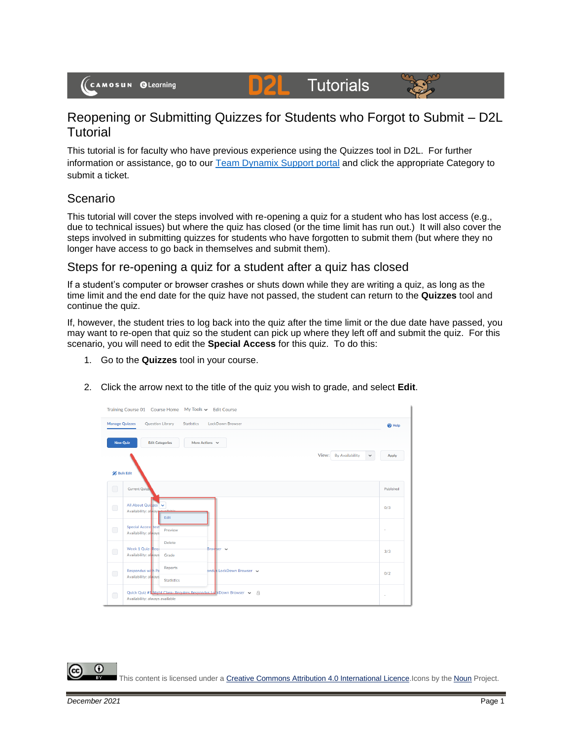(CAMOSUN @Learning

# **Tutorials**



## Reopening or Submitting Quizzes for Students who Forgot to Submit – D2L **Tutorial**

D

This tutorial is for faculty who have previous experience using the Quizzes tool in D2L. For further information or assistance, go to our [Team Dynamix Support portal](https://camosun.teamdynamix.com/TDClient/67/Portal/Requests/ServiceCatalog?CategoryID=523) and click the appropriate Category to submit a ticket.

#### Scenario

This tutorial will cover the steps involved with re-opening a quiz for a student who has lost access (e.g., due to technical issues) but where the quiz has closed (or the time limit has run out.) It will also cover the steps involved in submitting quizzes for students who have forgotten to submit them (but where they no longer have access to go back in themselves and submit them).

#### Steps for re-opening a quiz for a student after a quiz has closed

If a student's computer or browser crashes or shuts down while they are writing a quiz, as long as the time limit and the end date for the quiz have not passed, the student can return to the **Quizzes** tool and continue the quiz.

If, however, the student tries to log back into the quiz after the time limit or the due date have passed, you may want to re-open that quiz so the student can pick up where they left off and submit the quiz. For this scenario, you will need to edit the **Special Access** for this quiz. To do this:

- 1. Go to the **Quizzes** tool in your course.
- 2. Click the arrow next to the title of the quiz you wish to grade, and select **Edit**.

|                       | Training Course 01 Course Home My Tools v Edit Course                                                      |                   |
|-----------------------|------------------------------------------------------------------------------------------------------------|-------------------|
| <b>Manage Quizzes</b> | Question Library<br><b>LockDown Browser</b><br><b>Statistics</b>                                           | <sup>O</sup> Help |
| <b>New Quiz</b>       | <b>Edit Categories</b><br>More Actions $\sim$                                                              |                   |
|                       | View:<br><b>By Availability</b><br>$\checkmark$                                                            | Apply             |
| <b>Bulk Edit</b>      |                                                                                                            |                   |
| $\Box$                | Current Quizz.                                                                                             | Published         |
| $\Box$                | All About Quizzes<br>$\checkmark$<br>Availability: always<br>Edit                                          | 0/3               |
| $\Box$                | <b>Special Access</b> test<br>Preview<br>Availability: always                                              | ٠                 |
| $\Box$                | <b>Delete</b><br>Week 1 Quiz-Requ<br>Browser v<br>Availability: always<br>Grade                            | 3/3               |
| $\bigcirc$            | <b>Reports</b><br>Respondus with Pa<br>ondus LockDown Browser<br>Availability: always<br><b>Statistics</b> | 0/2               |
| $\Box$                | Quick Quiz #1 Night Class- Requires Respondus Lot KDown Browser $\sim$<br>Availability: always available   | ٠                 |

G This content is licensed under [a Creative Commons Attribution 4.0 International Licence.I](https://creativecommons.org/licenses/by/4.0/)cons by the [Noun](https://creativecommons.org/website-icons/) Project.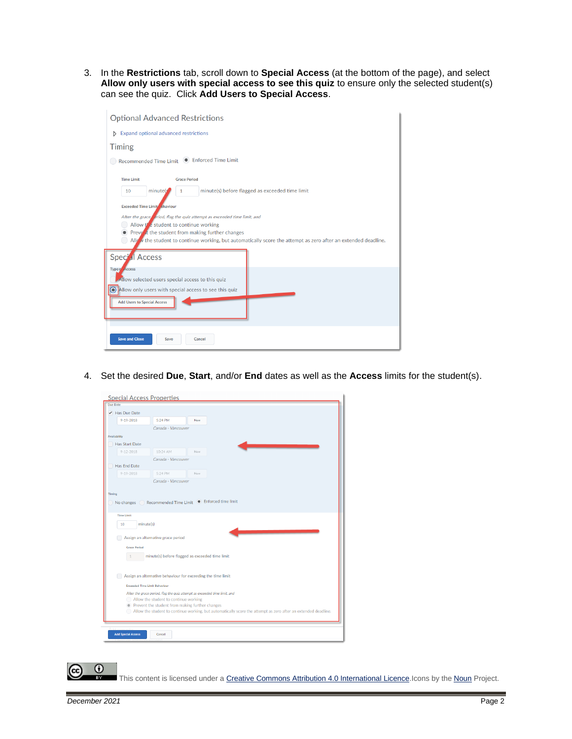3. In the **Restrictions** tab, scroll down to **Special Access** (at the bottom of the page), and select **Allow only users with special access to see this quiz** to ensure only the selected student(s) can see the quiz. Click **Add Users to Special Access**.

| <b>Optional Advanced Restrictions</b>                                                                                                                                                                                                                                                                                                     |  |  |  |  |  |
|-------------------------------------------------------------------------------------------------------------------------------------------------------------------------------------------------------------------------------------------------------------------------------------------------------------------------------------------|--|--|--|--|--|
| <b>Expand optional advanced restrictions</b><br>D                                                                                                                                                                                                                                                                                         |  |  |  |  |  |
| <b>Timing</b>                                                                                                                                                                                                                                                                                                                             |  |  |  |  |  |
| Recommended Time Limit <sup>O</sup> Enforced Time Limit                                                                                                                                                                                                                                                                                   |  |  |  |  |  |
| <b>Time Limit</b><br><b>Grace Period</b>                                                                                                                                                                                                                                                                                                  |  |  |  |  |  |
| minute(s) before flagged as exceeded time limit<br>minute(s)<br>10<br>1                                                                                                                                                                                                                                                                   |  |  |  |  |  |
| <b>Exceeded Time Limit ehaviour</b><br>After the grace eriod, flag the quiz attempt as exceeded time limit, and<br>Allow the student to continue working<br>Prevent the student from making further changes<br>All $\mathcal{N}$ the student to continue working, but automatically score the attempt as zero after an extended deadline. |  |  |  |  |  |
| Special Access                                                                                                                                                                                                                                                                                                                            |  |  |  |  |  |
| <b>Type of Access</b><br>Allow selected users special access to this quiz<br>Allow only users with special access to see this quized                                                                                                                                                                                                      |  |  |  |  |  |
| <b>Add Users to Special Access</b>                                                                                                                                                                                                                                                                                                        |  |  |  |  |  |
| <b>Save and Close</b><br>Save<br>Cancel                                                                                                                                                                                                                                                                                                   |  |  |  |  |  |

4. Set the desired **Due**, **Start**, and/or **End** dates as well as the **Access** limits for the student(s).

| $\blacktriangleright$ Has Due Date   |                                                                           |     |                                                                                                                |
|--------------------------------------|---------------------------------------------------------------------------|-----|----------------------------------------------------------------------------------------------------------------|
| $9 - 19 - 2018$                      | 5:24 PM                                                                   | Now |                                                                                                                |
|                                      | Canada - Vancouver                                                        |     |                                                                                                                |
| <b>Availability</b>                  |                                                                           |     |                                                                                                                |
| <b>Has Start Date</b>                |                                                                           |     |                                                                                                                |
| $9 - 12 - 2018$                      | 10:24 AM                                                                  | Now |                                                                                                                |
|                                      | Canada - Vancouver                                                        |     |                                                                                                                |
| Has End Date                         |                                                                           |     |                                                                                                                |
| $9 - 19 - 2018$                      | 5:24 PM                                                                   | Now |                                                                                                                |
|                                      | Canada - Vancouver                                                        |     |                                                                                                                |
| Timing                               |                                                                           |     |                                                                                                                |
| <b>Time Limit</b>                    |                                                                           |     |                                                                                                                |
| minute(s)<br>10                      | Assign an alternative grace period                                        |     |                                                                                                                |
| <b>Grace Period</b>                  |                                                                           |     |                                                                                                                |
|                                      | minute(s) before flagged as exceeded time limit                           |     |                                                                                                                |
|                                      |                                                                           |     |                                                                                                                |
|                                      |                                                                           |     |                                                                                                                |
|                                      | Assign an alternative behaviour for exceeding the time limit              |     |                                                                                                                |
| <b>Exceeded Time Limit Behaviour</b> |                                                                           |     |                                                                                                                |
|                                      | After the grace period, flag the quiz attempt as exceeded time limit, and |     |                                                                                                                |
|                                      | Allow the student to continue working                                     |     |                                                                                                                |
|                                      | • Prevent the student from making further changes                         |     |                                                                                                                |
|                                      |                                                                           |     | Allow the student to continue working, but automatically score the attempt as zero after an extended deadline. |

This content is licensed under [a Creative Commons Attribution 4.0 International Licence.I](https://creativecommons.org/licenses/by/4.0/)cons by the [Noun](https://creativecommons.org/website-icons/) Project.

 $\odot$ 

(cc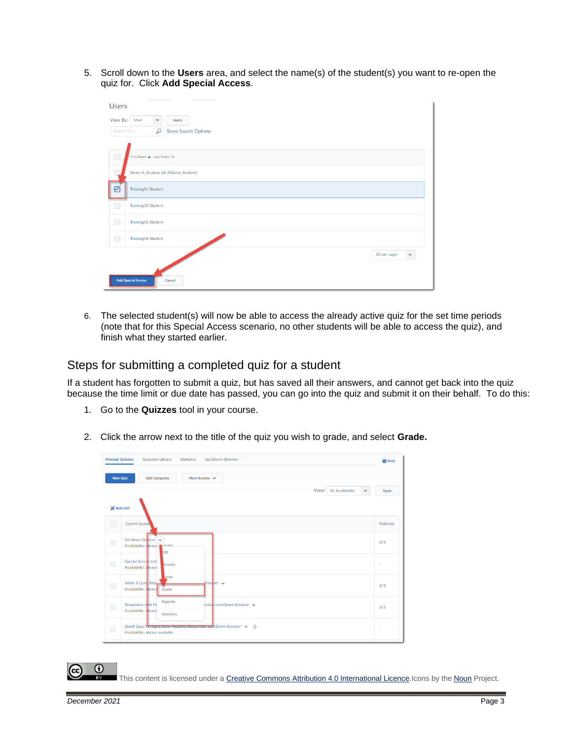5. Scroll down to the **Users** area, and select the name(s) of the student(s) you want to re-open the quiz for. Click **Add Special Access**.

| <b>Users</b>              | <b>Contract Contract Contract</b> |              | <b>Contract Contract Contract</b>  |             |             |
|---------------------------|-----------------------------------|--------------|------------------------------------|-------------|-------------|
| View By: User             |                                   | $\checkmark$ | Apply                              |             |             |
| Search For                |                                   | Q            | <b>Show Search Options</b>         |             |             |
| $\bigcirc$                | First Name . Last Name, Id        |              |                                    |             |             |
|                           |                                   |              | Demo A_Student (Id: ADemo_Student) |             |             |
| ☑                         | Training01 Student                |              |                                    |             |             |
| $\bigcirc$                | Training02 Student                |              |                                    |             |             |
| $\Box$                    | Training03 Student                |              |                                    |             |             |
| $\Box$                    | <b>Training04 Student</b>         |              |                                    |             |             |
| <b>Add Special Access</b> |                                   |              | Cancel                             | 20 per page | $\check{~}$ |

6. The selected student(s) will now be able to access the already active quiz for the set time periods (note that for this Special Access scenario, no other students will be able to access the quiz), and finish what they started earlier.

#### Steps for submitting a completed quiz for a student

If a student has forgotten to submit a quiz, but has saved all their answers, and cannot get back into the quiz because the time limit or due date has passed, you can go into the quiz and submit it on their behalf. To do this:

- 1. Go to the **Quizzes** tool in your course.
- 2. Click the arrow next to the title of the quiz you wish to grade, and select **Grade.**

| <b>Manage Quizzes</b> | Question Library<br><b>Statistics</b><br><b>LockDown Browser</b>                                      | $\Theta$ Help |
|-----------------------|-------------------------------------------------------------------------------------------------------|---------------|
| <b>New Quiz</b>       | <b>Edit Categories</b><br>More Actions $\sim$<br>View: By Availability<br>$\checkmark$                | Apply         |
| <b>Bulk Edit</b>      |                                                                                                       |               |
| $\Box$                | <b>Current Quizzes</b>                                                                                | Published     |
| $\Box$                | All About Quizzes<br>Availability: always<br>Edit                                                     | 0/3           |
| $\bigcirc$            | Special Access test<br>review<br>Availability: always                                                 |               |
| $\bigcirc$            | elete<br>Week 1 Quiz Require<br>Browser v<br>Availability: a ways Grade                               | 3/3           |
| $\Box$                | Reports<br>Respondus with Pa<br>ondus LockDown Browser v<br>Availability: always<br><b>Statistics</b> | 0/2           |
| $\bigcirc$            | Quick Quiz #1 Night Class-Requires Respondus LuckDown Browser v A<br>Availability: always available   |               |

This content is licensed under [a Creative Commons Attribution 4.0 International Licence.I](https://creativecommons.org/licenses/by/4.0/)cons by the [Noun](https://creativecommons.org/website-icons/) Project.

Œ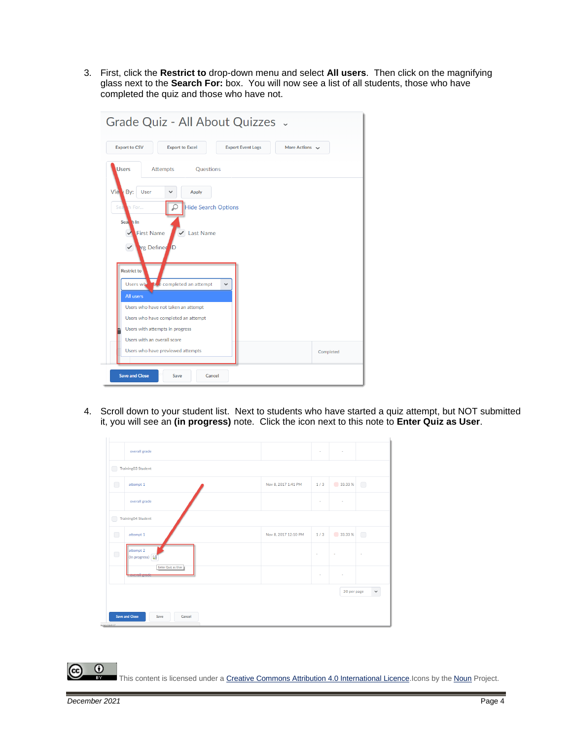3. First, click the **Restrict to** drop-down menu and select **All users**. Then click on the magnifying glass next to the **Search For:** box. You will now see a list of all students, those who have completed the quiz and those who have not.

| Grade Quiz - All About Quizzes .                                                                                                                                                                                                                                   |                                                 |  |  |  |
|--------------------------------------------------------------------------------------------------------------------------------------------------------------------------------------------------------------------------------------------------------------------|-------------------------------------------------|--|--|--|
| <b>Export to CSV</b><br><b>Export to Excel</b>                                                                                                                                                                                                                     | <b>Export Event Logs</b><br>More Actions $\sim$ |  |  |  |
| <b>Users</b><br><b>Attempts</b><br>Questions                                                                                                                                                                                                                       |                                                 |  |  |  |
| Vie<br>VBy:<br>User<br>Apply<br><b>Hide Search Options</b><br>Sea<br>P<br>ih For<br>Seal h In<br>$\sqrt{\sqrt{2}}$ Last Name<br><b>First Name</b><br>✓<br><b>Ing Defined ID</b><br>✓<br><b>Restrict to</b><br>ace completed an attempt<br>Users wh<br>$\checkmark$ |                                                 |  |  |  |
| <b>All users</b><br>Users who have not taken an attempt<br>Users who have completed an attempt<br>Users with attempts in progress<br>Users with an overall score<br>Users who have previewed attempts                                                              | Completed                                       |  |  |  |
| <b>Save and Close</b><br>Cancel<br>Save                                                                                                                                                                                                                            |                                                 |  |  |  |

4. Scroll down to your student list. Next to students who have started a quiz attempt, but NOT submitted it, you will see an **(in progress)** note. Click the icon next to this note to **Enter Quiz as User**.

| ⊆<br>$\Box$ | Training03 Student<br>attempt 1            | Nov 8, 2017 1:41 PM  | 1/3    | 33.33 %     | $\Box$                                  |
|-------------|--------------------------------------------|----------------------|--------|-------------|-----------------------------------------|
|             | overall grade                              |                      | $\sim$ | $\sim$      |                                         |
| ⊆           | <b>Training04 Student</b>                  |                      |        |             |                                         |
| $\Box$      | attempt 1                                  | Nov 8, 2017 12:10 PM | 1/3    | 33.33 %     | $\begin{array}{ccc} \hline \end{array}$ |
| $\Box$      | attempt 2<br>(In progress) (6)             |                      | ٠      |             |                                         |
|             | Enter Quiz as User<br><b>overall grade</b> |                      | ٠      |             |                                         |
|             |                                            |                      |        | 20 per page | $\checkmark$                            |

This content is licensed under [a Creative Commons Attribution 4.0 International Licence.I](https://creativecommons.org/licenses/by/4.0/)cons by the [Noun](https://creativecommons.org/website-icons/) Project.

 $\odot$